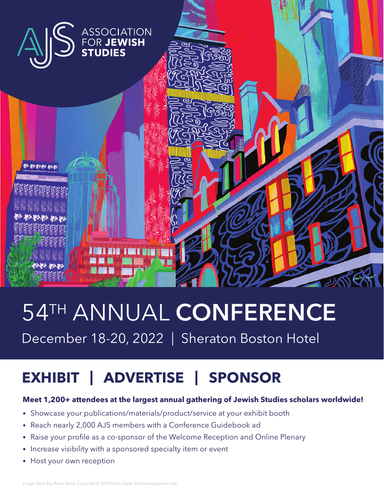

# 54TH ANNUAL CONFERENCE

December 18-20, 2022 | Sheraton Boston Hotel

# **EXHIBIT | ADVERTISE | SPONSOR**

# **Meet 1,200+ attendees at the largest annual gathering of Jewish Studies scholars worldwide!**

- Showcase your publications/materials/product/service at your exhibit booth
- Reach nearly 2,000 AJS members with a Conference Guidebook ad
- Raise your profile as a co-sponsor of the Welcome Reception and Online Plenary
- Increase visibility with a sponsored specialty item or event
- Host your own reception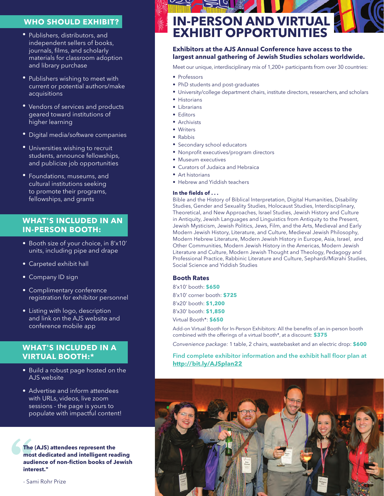# **WHO SHOULD EXHIBIT?**

- Publishers, distributors, and independent sellers of books, journals, films, and scholarly materials for classroom adoption and library purchase
- Publishers wishing to meet with current or potential authors/make acquisitions
- Vendors of services and products geared toward institutions of higher learning
- Digital media/software companies
- Universities wishing to recruit students, announce fellowships, and publicize job opportunities
- Foundations, museums, and cultural institutions seeking to promote their programs, fellowships, and grants

# **WHAT'S INCLUDED IN AN IN-PERSON BOOTH:**

- Booth size of your choice, in 8'x10' units, including pipe and drape
- Carpeted exhibit hall
- Company ID sign
- Complimentary conference registration for exhibitor personnel
- Listing with logo, description and link on the AJS website and conference mobile app

# **WHAT'S INCLUDED IN A VIRTUAL BOOTH:\***

- Build a robust page hosted on the AJS website
- Advertise and inform attendees with URLs, videos, live zoom sessions - the page is yours to populate with impactful content!

**The**<br>mos<br>aud<br>inte **The (AJS) attendees represent the most dedicated and intelligent reading audience of non-fiction books of Jewish interest."** 

- Sami Rohr Prize

# **IN-PERSON AND VIRTUAL EXHIBIT OPPORTUNITIES**

## **Exhibitors at the AJS Annual Conference have access to the largest annual gathering of Jewish Studies scholars worldwide.**

Meet our unique, interdisciplinary mix of 1,200+ participants from over 30 countries:

- Professors
- PhD students and post-graduates
- University/college department chairs, institute directors, researchers, and scholars
- Historians
- Librarians
- Editors
- Archivists
- Writers
- Rabbis
- Secondary school educators
- Nonprofit executives/program directors
- Museum executives
- Curators of Judaica and Hebraica
- Art historians
- Hebrew and Yiddish teachers

#### **In the fields of . . .**

Bible and the History of Biblical Interpretation, Digital Humanities, Disability Studies, Gender and Sexuality Studies, Holocaust Studies, Interdisciplinary, Theoretical, and New Approaches, Israel Studies, Jewish History and Culture in Antiquity, Jewish Languages and Linguistics from Antiquity to the Present, Jewish Mysticism, Jewish Politics, Jews, Film, and the Arts, Medieval and Early Modern Jewish History, Literature, and Culture, Medieval Jewish Philosophy, Modern Hebrew Literature, Modern Jewish History in Europe, Asia, Israel, and Other Communities, Modern Jewish History in the Americas, Modern Jewish Literature and Culture, Modern Jewish Thought and Theology, Pedagogy and Professional Practice, Rabbinic Literature and Culture, Sephardi/Mizrahi Studies, Social Science and Yiddish Studies

# **Booth Rates**

8'x10' booth: **\$650**

8'x10' corner booth: **\$725**

8'x20' booth: **\$1,200**

8'x30' booth: **\$1,850**

Virtual Booth\*: **\$650**

Add-on Virtual Booth for In-Person Exhibitors: All the benefits of an in-person booth combined with the offerings of a virtual booth\*, at a discount: **\$375**

*Convenience package:* 1 table, 2 chairs, wastebasket and an electric drop: **\$600**

# Find complete exhibitor information and the exhibit hall floor plan at **http://bit.ly/AJSplan22**

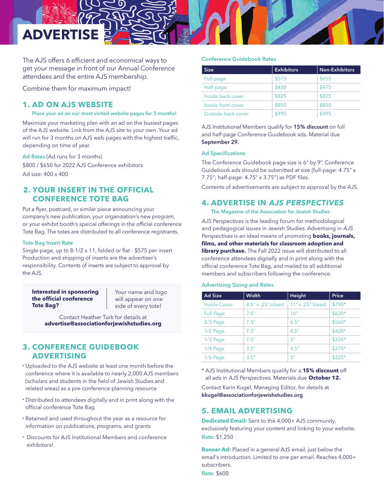

The AJS offers 6 efficient and economical ways to get your message in front of our Annual Conference attendees and the entire AJS membership.

Combine them for maximum impact!

# **1. AD ON AJS WEBSITE**

### Place your ad on our most-visited website pages for 3 months!

Maximize your marketing plan with an ad on the busiest pages of the AJS website. Link from the AJS site to your own. Your ad will run for 3 months on AJS web pages with the highest traffic, depending on time of year.

Ad Rates (Ad runs for 3 months) \$800 / \$650 for 2022 AJS Conference exhibitors Ad size: 400 x 400

# **2. YOUR INSERT IN THE OFFICIAL CONFERENCE TOTE BAG**

Put a flyer, postcard, or similar piece announcing your company's new publication, your organization's new program, or your exhibit booth's special offerings in the official conference Tote Bag. The totes are distributed to all conference registrants.

#### Tote Bag Insert Rate

Single-page, up to 8-1/2 x 11, folded or flat - \$575 per insert Production and shipping of inserts are the advertiser's responsibility. Contents of inserts are subject to approval by the AJS.

**Interested in sponsoring the official conference Tote Bag?**

Your name and logo will appear on one side of every tote!

Contact Heather Turk for details at **advertise@associationforjewishstudies.org**

# **3. CONFERENCE GUIDEBOOK ADVERTISING**

- Uploaded to the AJS website at least one month before the conference where it is available to nearly 2,000 AJS members (scholars and students in the field of Jewish Studies and related areas) as a pre-conference planning resource
- Distributed to attendees digitally and in print along with the official conference Tote Bag
- Retained and used throughout the year as a resource for information on publications, programs, and grants
- Discounts for AJS Institutional Members and conference exhibitors!

#### Conference Guidebook Rates

| <b>Size</b>        | <b>Exhibitors</b> | Non-Exhibitors |
|--------------------|-------------------|----------------|
| Full-page          | \$575             | \$655          |
| Half-page          | \$430             | \$475          |
| Inside back cover  | \$825             | \$825          |
| Inside front cover | \$850             | \$850          |
| Outside back cover | \$995             | \$995          |

AJS Institutional Members qualify for 15% discount on full and half-page Conference Guidebook ads. Material due September 29.

### Ad Specifications

The Conference Guidebook page size is 6" by 9". Conference Guidebook ads should be submitted at size (full-page: 4.75" x 7.75"; half-page: 4.75" x 3.75") as PDF files.

Contents of advertisements are subject to approval by the AJS.

# **4. ADVERTISE IN AJS PERSPECTIVES**

The Magazine of the Association for Jewish Studies

AJS Perspectives is the leading forum for methodological and pedagogical issues in Jewish Studies. Advertising in AJS Perspectives is an ideal means of promoting **books, journals, films, and other materials for classroom adoption and library purchase.** The Fall 2022 issue will distributed to all conference attendees digitally and in print along with the official conference Tote Bag, and mailed to all additional members and subscribers following the conference.

#### Advertising Sizing and Rates

| <b>Ad Size</b>      | Width               | Height             | Price   |
|---------------------|---------------------|--------------------|---------|
| <b>Inside Cover</b> | $8.5" + .25"$ bleed | $11" + .25"$ bleed | $$790*$ |
| <b>Full Page</b>    | 7.5''               | 10"                | $$620*$ |
| $2/3$ Page          | 7.5''               | 6.5''              | \$560*  |
| $1/2$ Page          | 7.5"                | 4.5"               | \$420*  |
| $1/3$ Page          | 7.5"                | 3"                 | \$335*  |
| 1/4 Page            | 3.5"                | 4.5"               | $$275*$ |
| 1/6 Page            | 3.5"                | 3"                 | $$225*$ |

\* AJS Institutional Members qualify for a **15% discount** off all ads in AJS Perspectives. Materials due **October 12.**

Contact Karin Kugel, Managing Editor, for details at kkugel@associationforjewishstudies.org

# **5. EMAIL ADVERTISING**

**Dedicated Email:** Sent to the 4,000+ AJS community, exclusively featuring your content and linking to your website. Rate: \$1,250

**Banner Ad:** Placed in a general AJS email, just below the email's introduction. Limited to one per email. Reaches 4,000+ subscribers.

Rate: \$600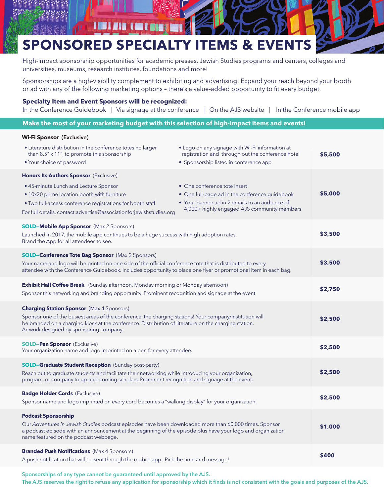# **SPONSORED SPECIALTY ITEMS & EVENTS**

700

High-impact sponsorship opportunities for academic presses, Jewish Studies programs and centers, colleges and universities, museums, research institutes, foundations and more!

Sponsorships are a high-visibility complement to exhibiting and advertising! Expand your reach beyond your booth or ad with any of the following marketing options – there's a value-added opportunity to fit every budget.

### **Specialty Item and Event Sponsors will be recognized:**

In the Conference Guidebook | Via signage at the conference | On the AJS website | In the Conference mobile app

### **Make the most of your marketing budget with this selection of high-impact items and events!**

### **Wi-Fi Sponsor** (Exclusive)

| • Literature distribution in the conference totes no larger<br>than 8.5" x 11", to promote this sponsorship                                                                                                                                                                                                      | • Logo on any signage with Wi-Fi information at<br>registration and through out the conference hotel | \$5,500 |
|------------------------------------------------------------------------------------------------------------------------------------------------------------------------------------------------------------------------------------------------------------------------------------------------------------------|------------------------------------------------------------------------------------------------------|---------|
| • Your choice of password                                                                                                                                                                                                                                                                                        | • Sponsorship listed in conference app                                                               |         |
| <b>Honors Its Authors Sponsor</b> (Exclusive)<br>• 45-minute Lunch and Lecture Sponsor<br>• 10x20 prime location booth with furniture                                                                                                                                                                            | • One conference tote insert<br>• One full-page ad in the conference guidebook                       | \$5,000 |
| . Two full-access conference registrations for booth staff<br>For full details, contact:advertise@associationforjewishstudies.org                                                                                                                                                                                | • Your banner ad in 2 emails to an audience of<br>4,000+ highly engaged AJS community members        |         |
| <b>SOLD-Mobile App Sponsor</b> (Max 2 Sponsors)<br>Launched in 2017, the mobile app continues to be a huge success with high adoption rates.<br>Brand the App for all attendees to see.                                                                                                                          |                                                                                                      | \$3,500 |
| <b>SOLD-Conference Tote Bag Sponsor</b> (Max 2 Sponsors)<br>Your name and logo will be printed on one side of the official conference tote that is distributed to every<br>attendee with the Conference Guidebook. Includes opportunity to place one flyer or promotional item in each bag.                      |                                                                                                      | \$3,500 |
| <b>Exhibit Hall Coffee Break</b> (Sunday afternoon, Monday morning or Monday afternoon)<br>Sponsor this networking and branding opportunity. Prominent recognition and signage at the event.                                                                                                                     |                                                                                                      | \$2,750 |
| <b>Charging Station Sponsor</b> (Max 4 Sponsors)<br>Sponsor one of the busiest areas of the conference, the charging stations! Your company/institution will<br>be branded on a charging kiosk at the conference. Distribution of literature on the charging station.<br>Artwork designed by sponsoring company. |                                                                                                      | \$2,500 |
| <b>SOLD-Pen Sponsor</b> (Exclusive)<br>Your organization name and logo imprinted on a pen for every attendee.                                                                                                                                                                                                    |                                                                                                      | \$2,500 |
| <b>SOLD-Graduate Student Reception</b> (Sunday post-party)<br>Reach out to graduate students and facilitate their networking while introducing your organization,<br>program, or company to up-and-coming scholars. Prominent recognition and signage at the event.                                              |                                                                                                      | \$2,500 |
| <b>Badge Holder Cords</b> (Exclusive)<br>Sponsor name and logo imprinted on every cord becomes a "walking display" for your organization.                                                                                                                                                                        |                                                                                                      | \$2,500 |
| <b>Podcast Sponsorship</b><br>Our Adventures in Jewish Studies podcast episodes have been downloaded more than 60,000 times. Sponsor<br>a podcast episode with an announcement at the beginning of the episode plus have your logo and organization<br>name featured on the podcast webpage.                     |                                                                                                      | \$1,000 |
| <b>Branded Push Notifications</b> (Max 4 Sponsors)<br>A push notification that will be sent through the mobile app. Pick the time and message!                                                                                                                                                                   |                                                                                                      | \$400   |

#### Sponsorships of any type cannot be guaranteed until approved by the AJS.

The AJS reserves the right to refuse any application for sponsorship which it finds is not consistent with the goals and purposes of the AJS.